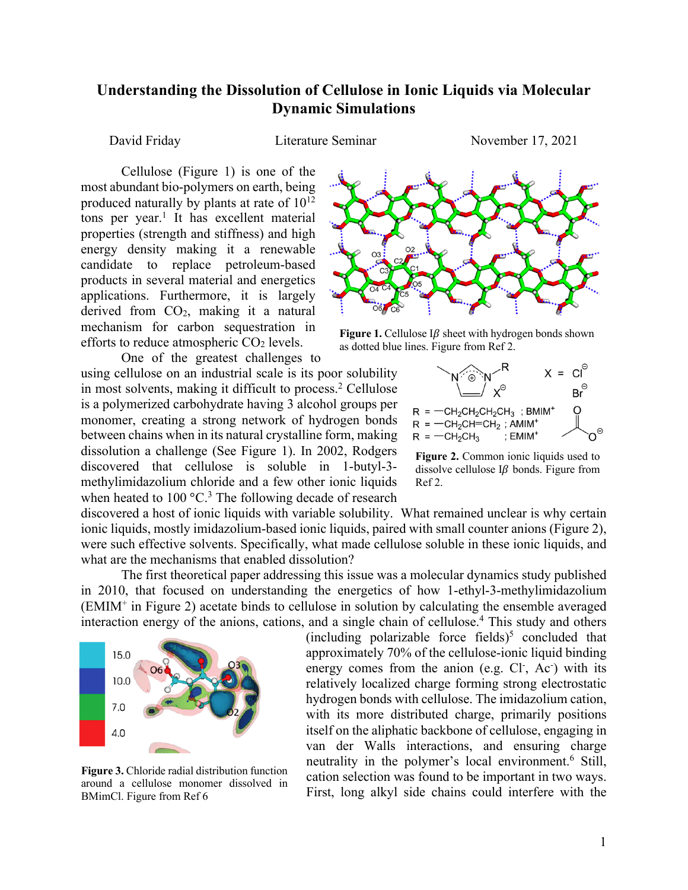## **Understanding the Dissolution of Cellulose in Ionic Liquids via Molecular Dynamic Simulations**

David Friday **Literature Seminar** November 17, 2021

Cellulose (Figure 1) is one of the most abundant bio-polymers on earth, being produced naturally by plants at rate of  $10^{12}$ tons per year.<sup>1</sup> It has excellent material properties (strength and stiffness) and high energy density making it a renewable candidate to replace petroleum-based products in several material and energetics applications. Furthermore, it is largely derived from CO2, making it a natural mechanism for carbon sequestration in efforts to reduce atmospheric  $CO<sub>2</sub>$  levels.

One of the greatest challenges to using cellulose on an industrial scale is its poor solubility in most solvents, making it difficult to process.<sup>2</sup> Cellulose is a polymerized carbohydrate having 3 alcohol groups per monomer, creating a strong network of hydrogen bonds between chains when in its natural crystalline form, making dissolution a challenge (See Figure 1). In 2002, Rodgers discovered that cellulose is soluble in 1-butyl-3 methylimidazolium chloride and a few other ionic liquids when heated to  $100 \, \text{°C}$ .<sup>3</sup> The following decade of research



Figure 1. Cellulose  $I\beta$  sheet with hydrogen bonds shown as dotted blue lines. Figure from Ref 2.



**Figure 2.** Common ionic liquids used to dissolve cellulose  $I\beta$  bonds. Figure from Ref 2.

discovered a host of ionic liquids with variable solubility. What remained unclear is why certain ionic liquids, mostly imidazolium-based ionic liquids, paired with small counter anions (Figure 2), were such effective solvents. Specifically, what made cellulose soluble in these ionic liquids, and what are the mechanisms that enabled dissolution?

The first theoretical paper addressing this issue was a molecular dynamics study published in 2010, that focused on understanding the energetics of how 1-ethyl-3-methylimidazolium (EMIM+ in Figure 2) acetate binds to cellulose in solution by calculating the ensemble averaged interaction energy of the anions, cations, and a single chain of cellulose.<sup>4</sup> This study and others



**Figure 3.** Chloride radial distribution function around a cellulose monomer dissolved in BMimCl. Figure from Ref 6

(including polarizable force fields)<sup>5</sup> concluded that approximately 70% of the cellulose-ionic liquid binding energy comes from the anion (e.g. Cl<sup>-</sup>, Ac<sup>-</sup>) with its relatively localized charge forming strong electrostatic hydrogen bonds with cellulose. The imidazolium cation, with its more distributed charge, primarily positions itself on the aliphatic backbone of cellulose, engaging in van der Walls interactions, and ensuring charge neutrality in the polymer's local environment.<sup>6</sup> Still, cation selection was found to be important in two ways. First, long alkyl side chains could interfere with the